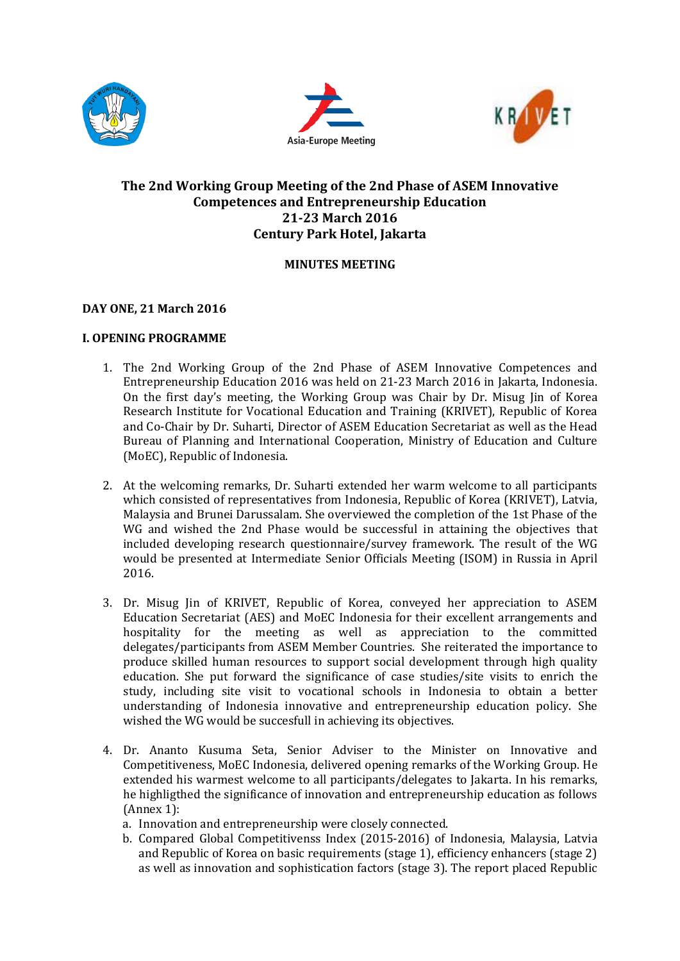





# **The 2nd Working Group Meeting of the 2nd Phase of ASEM Innovative Competences and Entrepreneurship Education 21-23 March 2016 Century Park Hotel, Jakarta**

# **MINUTES MEETING**

# **DAY ONE, 21 March 2016**

# **I. OPENING PROGRAMME**

- 1. The 2nd Working Group of the 2nd Phase of ASEM Innovative Competences and Entrepreneurship Education 2016 was held on 21-23 March 2016 in Jakarta, Indonesia. On the first day's meeting, the Working Group was Chair by Dr. Misug Jin of Korea Research Institute for Vocational Education and Training (KRIVET), Republic of Korea and Co-Chair by Dr. Suharti, Director of ASEM Education Secretariat as well as the Head Bureau of Planning and International Cooperation, Ministry of Education and Culture (MoEC), Republic of Indonesia.
- 2. At the welcoming remarks, Dr. Suharti extended her warm welcome to all participants which consisted of representatives from Indonesia, Republic of Korea (KRIVET), Latvia, Malaysia and Brunei Darussalam. She overviewed the completion of the 1st Phase of the WG and wished the 2nd Phase would be successful in attaining the objectives that included developing research questionnaire/survey framework. The result of the WG would be presented at Intermediate Senior Officials Meeting (ISOM) in Russia in April 2016.
- 3. Dr. Misug Jin of KRIVET, Republic of Korea, conveyed her appreciation to ASEM Education Secretariat (AES) and MoEC Indonesia for their excellent arrangements and hospitality for the meeting as well as appreciation to the committed delegates/participants from ASEM Member Countries. She reiterated the importance to produce skilled human resources to support social development through high quality education. She put forward the significance of case studies/site visits to enrich the study, including site visit to vocational schools in Indonesia to obtain a better understanding of Indonesia innovative and entrepreneurship education policy. She wished the WG would be succesfull in achieving its objectives.
- 4. Dr. Ananto Kusuma Seta, Senior Adviser to the Minister on Innovative and Competitiveness, MoEC Indonesia, delivered opening remarks of the Working Group. He extended his warmest welcome to all participants/delegates to Jakarta. In his remarks, he highligthed the significance of innovation and entrepreneurship education as follows (Annex 1):
	- a. Innovation and entrepreneurship were closely connected.
	- b. Compared Global Competitivenss Index (2015-2016) of Indonesia, Malaysia, Latvia and Republic of Korea on basic requirements (stage 1), efficiency enhancers (stage 2) as well as innovation and sophistication factors (stage 3). The report placed Republic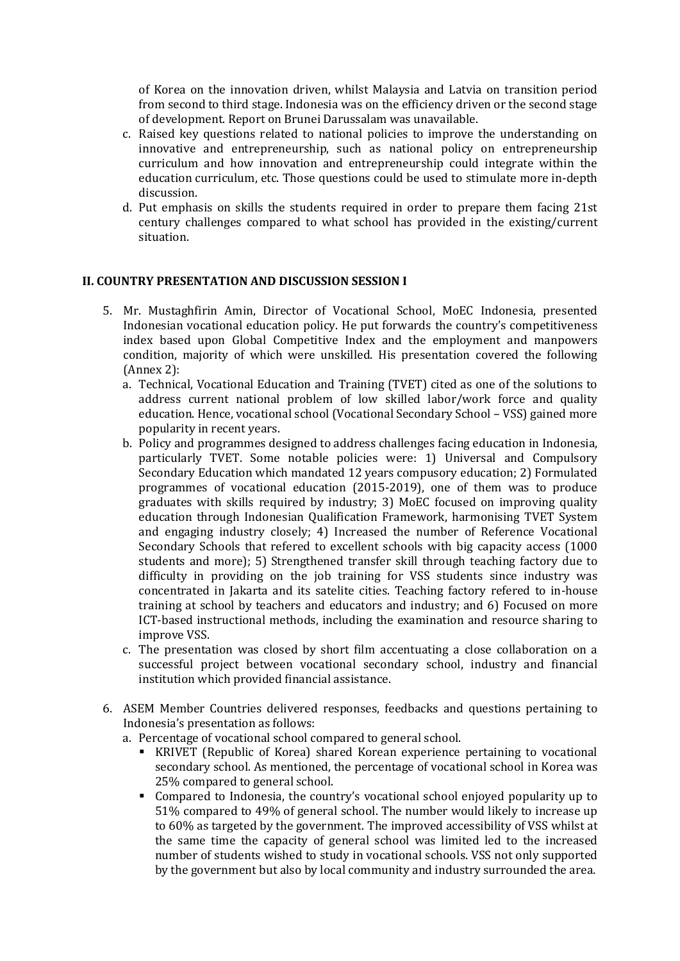of Korea on the innovation driven, whilst Malaysia and Latvia on transition period from second to third stage. Indonesia was on the efficiency driven or the second stage of development. Report on Brunei Darussalam was unavailable.

- c. Raised key questions related to national policies to improve the understanding on innovative and entrepreneurship, such as national policy on entrepreneurship curriculum and how innovation and entrepreneurship could integrate within the education curriculum, etc. Those questions could be used to stimulate more in-depth discussion.
- d. Put emphasis on skills the students required in order to prepare them facing 21st century challenges compared to what school has provided in the existing/current situation.

### **II. COUNTRY PRESENTATION AND DISCUSSION SESSION I**

- 5. Mr. Mustaghfirin Amin, Director of Vocational School, MoEC Indonesia, presented Indonesian vocational education policy. He put forwards the country's competitiveness index based upon Global Competitive Index and the employment and manpowers condition, majority of which were unskilled. His presentation covered the following (Annex 2):
	- a. Technical, Vocational Education and Training (TVET) cited as one of the solutions to address current national problem of low skilled labor/work force and quality education. Hence, vocational school (Vocational Secondary School – VSS) gained more popularity in recent years.
	- b. Policy and programmes designed to address challenges facing education in Indonesia, particularly TVET. Some notable policies were: 1) Universal and Compulsory Secondary Education which mandated 12 years compusory education; 2) Formulated programmes of vocational education (2015-2019), one of them was to produce graduates with skills required by industry; 3) MoEC focused on improving quality education through Indonesian Qualification Framework, harmonising TVET System and engaging industry closely; 4) Increased the number of Reference Vocational Secondary Schools that refered to excellent schools with big capacity access (1000 students and more); 5) Strengthened transfer skill through teaching factory due to difficulty in providing on the job training for VSS students since industry was concentrated in Jakarta and its satelite cities. Teaching factory refered to in-house training at school by teachers and educators and industry; and 6) Focused on more ICT-based instructional methods, including the examination and resource sharing to improve VSS.
	- c. The presentation was closed by short film accentuating a close collaboration on a successful project between vocational secondary school, industry and financial institution which provided financial assistance.
- 6. ASEM Member Countries delivered responses, feedbacks and questions pertaining to Indonesia's presentation as follows:
	- a. Percentage of vocational school compared to general school.
		- KRIVET (Republic of Korea) shared Korean experience pertaining to vocational secondary school. As mentioned, the percentage of vocational school in Korea was 25% compared to general school.
		- Compared to Indonesia, the country's vocational school enjoyed popularity up to 51% compared to 49% of general school. The number would likely to increase up to 60% as targeted by the government. The improved accessibility of VSS whilst at the same time the capacity of general school was limited led to the increased number of students wished to study in vocational schools. VSS not only supported by the government but also by local community and industry surrounded the area.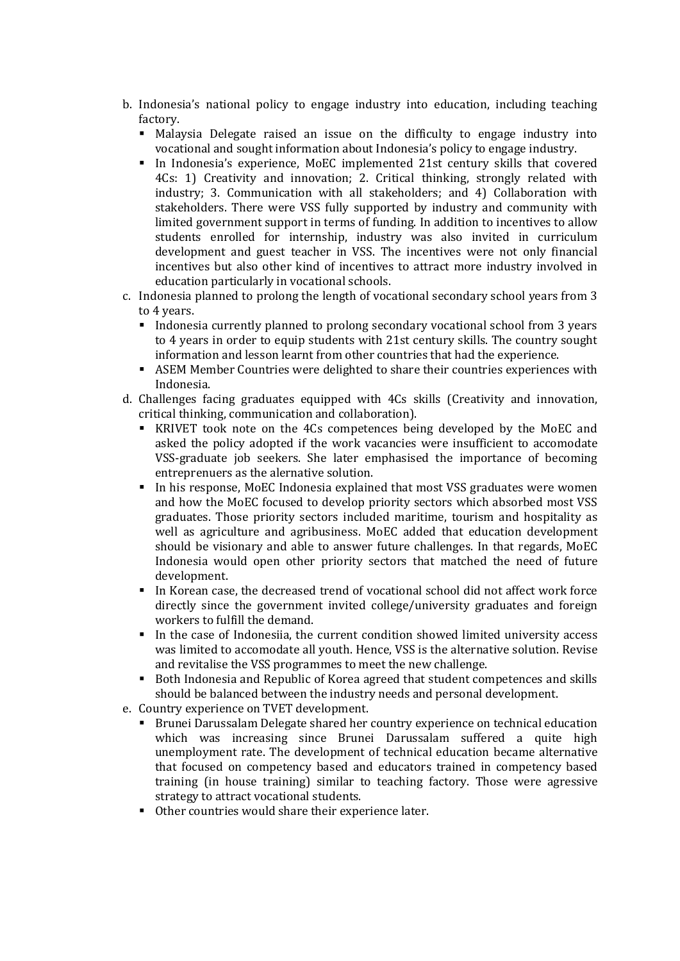- b. Indonesia's national policy to engage industry into education, including teaching factory.
	- Malaysia Delegate raised an issue on the difficulty to engage industry into vocational and sought information about Indonesia's policy to engage industry.
	- In Indonesia's experience, MoEC implemented 21st century skills that covered 4Cs: 1) Creativity and innovation; 2. Critical thinking, strongly related with industry; 3. Communication with all stakeholders; and 4) Collaboration with stakeholders. There were VSS fully supported by industry and community with limited government support in terms of funding. In addition to incentives to allow students enrolled for internship, industry was also invited in curriculum development and guest teacher in VSS. The incentives were not only financial incentives but also other kind of incentives to attract more industry involved in education particularly in vocational schools.
- c. Indonesia planned to prolong the length of vocational secondary school years from 3 to 4 years.
	- Indonesia currently planned to prolong secondary vocational school from 3 years to 4 years in order to equip students with 21st century skills. The country sought information and lesson learnt from other countries that had the experience.
	- ASEM Member Countries were delighted to share their countries experiences with Indonesia.
- d. Challenges facing graduates equipped with 4Cs skills (Creativity and innovation, critical thinking, communication and collaboration).
	- KRIVET took note on the 4Cs competences being developed by the MoEC and asked the policy adopted if the work vacancies were insufficient to accomodate VSS-graduate job seekers. She later emphasised the importance of becoming entreprenuers as the alernative solution.
	- In his response, MoEC Indonesia explained that most VSS graduates were women and how the MoEC focused to develop priority sectors which absorbed most VSS graduates. Those priority sectors included maritime, tourism and hospitality as well as agriculture and agribusiness. MoEC added that education development should be visionary and able to answer future challenges. In that regards, MoEC Indonesia would open other priority sectors that matched the need of future development.
	- In Korean case, the decreased trend of vocational school did not affect work force directly since the government invited college/university graduates and foreign workers to fulfill the demand.
	- In the case of Indonesiia, the current condition showed limited university access was limited to accomodate all youth. Hence, VSS is the alternative solution. Revise and revitalise the VSS programmes to meet the new challenge.
	- Both Indonesia and Republic of Korea agreed that student competences and skills should be balanced between the industry needs and personal development.
- e. Country experience on TVET development.
	- **Brunei Darussalam Delegate shared her country experience on technical education** which was increasing since Brunei Darussalam suffered a quite high unemployment rate. The development of technical education became alternative that focused on competency based and educators trained in competency based training (in house training) similar to teaching factory. Those were agressive strategy to attract vocational students.
	- Other countries would share their experience later.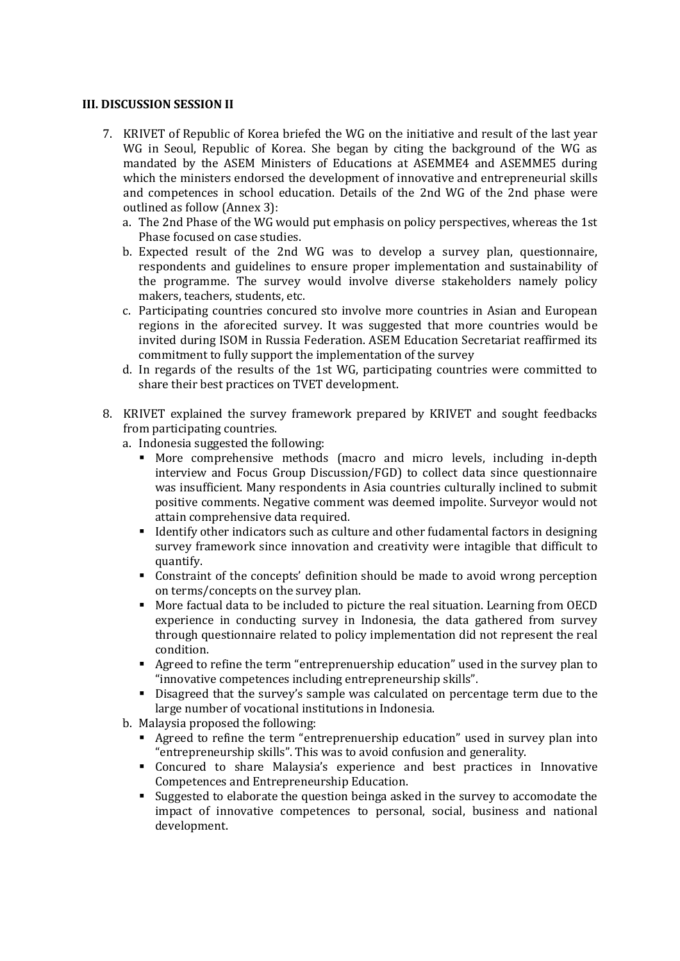### **III. DISCUSSION SESSION II**

- 7. KRIVET of Republic of Korea briefed the WG on the initiative and result of the last year WG in Seoul, Republic of Korea. She began by citing the background of the WG as mandated by the ASEM Ministers of Educations at ASEMME4 and ASEMME5 during which the ministers endorsed the development of innovative and entrepreneurial skills and competences in school education. Details of the 2nd WG of the 2nd phase were outlined as follow (Annex 3):
	- a. The 2nd Phase of the WG would put emphasis on policy perspectives, whereas the 1st Phase focused on case studies.
	- b. Expected result of the 2nd WG was to develop a survey plan, questionnaire, respondents and guidelines to ensure proper implementation and sustainability of the programme. The survey would involve diverse stakeholders namely policy makers, teachers, students, etc.
	- c. Participating countries concured sto involve more countries in Asian and European regions in the aforecited survey. It was suggested that more countries would be invited during ISOM in Russia Federation. ASEM Education Secretariat reaffirmed its commitment to fully support the implementation of the survey
	- d. In regards of the results of the 1st WG, participating countries were committed to share their best practices on TVET development.
- 8. KRIVET explained the survey framework prepared by KRIVET and sought feedbacks from participating countries.
	- a. Indonesia suggested the following:
		- More comprehensive methods (macro and micro levels, including in-depth interview and Focus Group Discussion/FGD) to collect data since questionnaire was insufficient. Many respondents in Asia countries culturally inclined to submit positive comments. Negative comment was deemed impolite. Surveyor would not attain comprehensive data required.
		- I dentify other indicators such as culture and other fudamental factors in designing survey framework since innovation and creativity were intagible that difficult to quantify.
		- Constraint of the concepts' definition should be made to avoid wrong perception on terms/concepts on the survey plan.
		- More factual data to be included to picture the real situation. Learning from OECD experience in conducting survey in Indonesia, the data gathered from survey through questionnaire related to policy implementation did not represent the real condition.
		- Agreed to refine the term "entreprenuership education" used in the survey plan to "innovative competences including entrepreneurship skills".
		- Disagreed that the survey's sample was calculated on percentage term due to the large number of vocational institutions in Indonesia.
	- b. Malaysia proposed the following:
		- Agreed to refine the term "entreprenuership education" used in survey plan into "entrepreneurship skills". This was to avoid confusion and generality.
		- Concured to share Malaysia's experience and best practices in Innovative Competences and Entrepreneurship Education.
		- Suggested to elaborate the question beinga asked in the survey to accomodate the impact of innovative competences to personal, social, business and national development.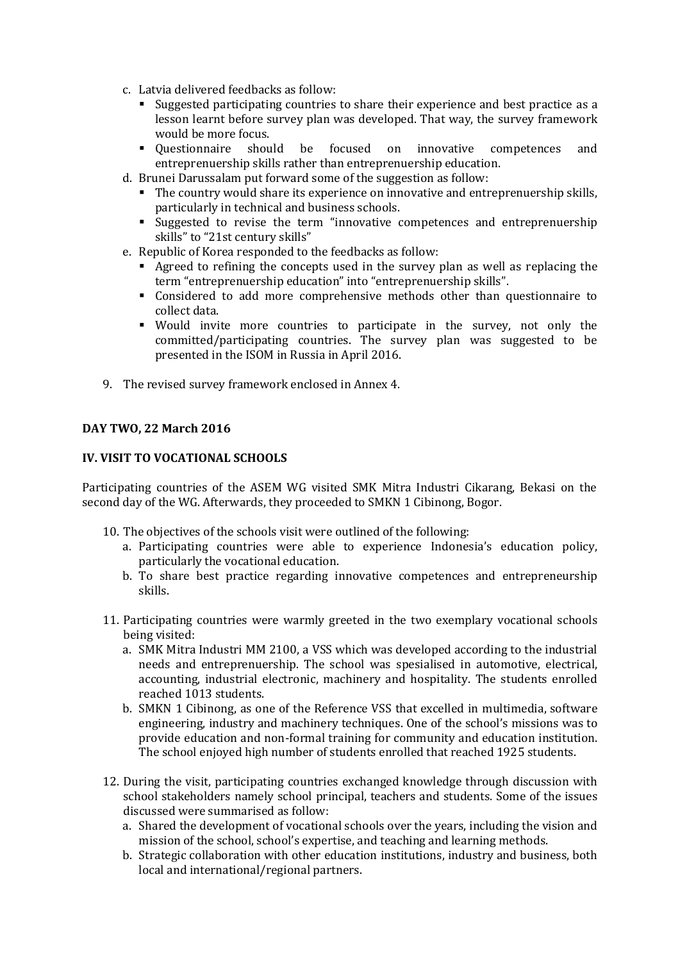- c. Latvia delivered feedbacks as follow:
	- Suggested participating countries to share their experience and best practice as a lesson learnt before survey plan was developed. That way, the survey framework would be more focus.
	- Questionnaire should be focused on innovative competences and entreprenuership skills rather than entreprenuership education.
- d. Brunei Darussalam put forward some of the suggestion as follow:
	- The country would share its experience on innovative and entreprenuership skills, particularly in technical and business schools.
	- Suggested to revise the term "innovative competences and entreprenuership skills" to "21st century skills"
- e. Republic of Korea responded to the feedbacks as follow:
	- Agreed to refining the concepts used in the survey plan as well as replacing the term "entreprenuership education" into "entreprenuership skills".
	- Considered to add more comprehensive methods other than questionnaire to collect data.
	- Would invite more countries to participate in the survey, not only the committed/participating countries. The survey plan was suggested to be presented in the ISOM in Russia in April 2016.
- 9. The revised survey framework enclosed in Annex 4.

### **DAY TWO, 22 March 2016**

### **IV. VISIT TO VOCATIONAL SCHOOLS**

Participating countries of the ASEM WG visited SMK Mitra Industri Cikarang, Bekasi on the second day of the WG. Afterwards, they proceeded to SMKN 1 Cibinong, Bogor.

- 10. The objectives of the schools visit were outlined of the following:
	- a. Participating countries were able to experience Indonesia's education policy, particularly the vocational education.
	- b. To share best practice regarding innovative competences and entrepreneurship skills.
- 11. Participating countries were warmly greeted in the two exemplary vocational schools being visited:
	- a. SMK Mitra Industri MM 2100, a VSS which was developed according to the industrial needs and entreprenuership. The school was spesialised in automotive, electrical, accounting, industrial electronic, machinery and hospitality. The students enrolled reached 1013 students.
	- b. SMKN 1 Cibinong, as one of the Reference VSS that excelled in multimedia, software engineering, industry and machinery techniques. One of the school's missions was to provide education and non-formal training for community and education institution. The school enjoyed high number of students enrolled that reached 1925 students.
- 12. During the visit, participating countries exchanged knowledge through discussion with school stakeholders namely school principal, teachers and students. Some of the issues discussed were summarised as follow:
	- a. Shared the development of vocational schools over the years, including the vision and mission of the school, school's expertise, and teaching and learning methods.
	- b. Strategic collaboration with other education institutions, industry and business, both local and international/regional partners.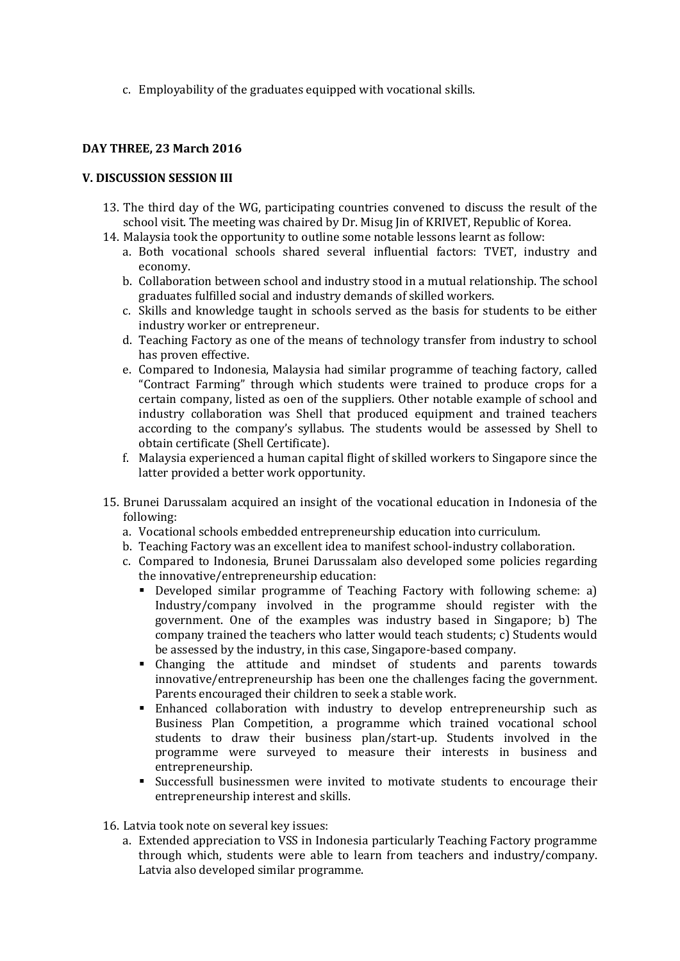c. Employability of the graduates equipped with vocational skills.

### **DAY THREE, 23 March 2016**

### **V. DISCUSSION SESSION III**

- 13. The third day of the WG, participating countries convened to discuss the result of the school visit. The meeting was chaired by Dr. Misug Jin of KRIVET, Republic of Korea.
- 14. Malaysia took the opportunity to outline some notable lessons learnt as follow:
	- a. Both vocational schools shared several influential factors: TVET, industry and economy.
	- b. Collaboration between school and industry stood in a mutual relationship. The school graduates fulfilled social and industry demands of skilled workers.
	- c. Skills and knowledge taught in schools served as the basis for students to be either industry worker or entrepreneur.
	- d. Teaching Factory as one of the means of technology transfer from industry to school has proven effective.
	- e. Compared to Indonesia, Malaysia had similar programme of teaching factory, called "Contract Farming" through which students were trained to produce crops for a certain company, listed as oen of the suppliers. Other notable example of school and industry collaboration was Shell that produced equipment and trained teachers according to the company's syllabus. The students would be assessed by Shell to obtain certificate (Shell Certificate).
	- f. Malaysia experienced a human capital flight of skilled workers to Singapore since the latter provided a better work opportunity.
- 15. Brunei Darussalam acquired an insight of the vocational education in Indonesia of the following:
	- a. Vocational schools embedded entrepreneurship education into curriculum.
	- b. Teaching Factory was an excellent idea to manifest school-industry collaboration.
	- c. Compared to Indonesia, Brunei Darussalam also developed some policies regarding the innovative/entrepreneurship education:
		- Developed similar programme of Teaching Factory with following scheme: a) Industry/company involved in the programme should register with the government. One of the examples was industry based in Singapore; b) The company trained the teachers who latter would teach students; c) Students would be assessed by the industry, in this case, Singapore-based company.
		- Changing the attitude and mindset of students and parents towards innovative/entrepreneurship has been one the challenges facing the government. Parents encouraged their children to seek a stable work.
		- Enhanced collaboration with industry to develop entrepreneurship such as Business Plan Competition, a programme which trained vocational school students to draw their business plan/start-up. Students involved in the programme were surveyed to measure their interests in business and entrepreneurship.
		- Successfull businessmen were invited to motivate students to encourage their entrepreneurship interest and skills.

16. Latvia took note on several key issues:

a. Extended appreciation to VSS in Indonesia particularly Teaching Factory programme through which, students were able to learn from teachers and industry/company. Latvia also developed similar programme.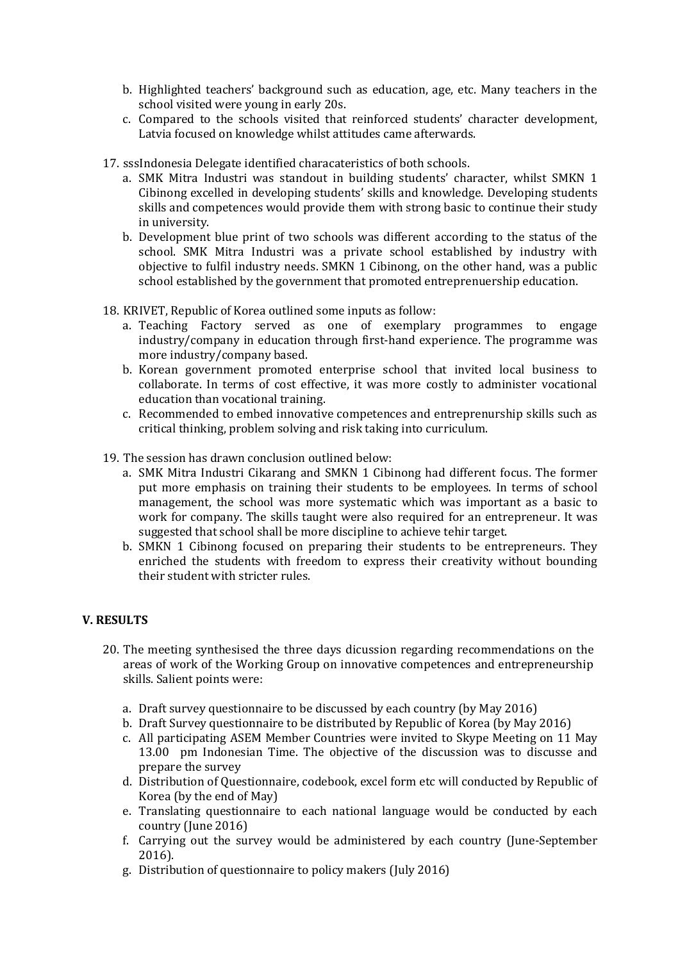- b. Highlighted teachers' background such as education, age, etc. Many teachers in the school visited were young in early 20s.
- c. Compared to the schools visited that reinforced students' character development, Latvia focused on knowledge whilst attitudes came afterwards.
- 17. sssIndonesia Delegate identified characateristics of both schools.
	- a. SMK Mitra Industri was standout in building students' character, whilst SMKN 1 Cibinong excelled in developing students' skills and knowledge. Developing students skills and competences would provide them with strong basic to continue their study in university.
	- b. Development blue print of two schools was different according to the status of the school. SMK Mitra Industri was a private school established by industry with objective to fulfil industry needs. SMKN 1 Cibinong, on the other hand, was a public school established by the government that promoted entreprenuership education.
- 18. KRIVET, Republic of Korea outlined some inputs as follow:
	- a. Teaching Factory served as one of exemplary programmes to engage industry/company in education through first-hand experience. The programme was more industry/company based.
	- b. Korean government promoted enterprise school that invited local business to collaborate. In terms of cost effective, it was more costly to administer vocational education than vocational training.
	- c. Recommended to embed innovative competences and entreprenurship skills such as critical thinking, problem solving and risk taking into curriculum.
- 19. The session has drawn conclusion outlined below:
	- a. SMK Mitra Industri Cikarang and SMKN 1 Cibinong had different focus. The former put more emphasis on training their students to be employees. In terms of school management, the school was more systematic which was important as a basic to work for company. The skills taught were also required for an entrepreneur. It was suggested that school shall be more discipline to achieve tehir target.
	- b. SMKN 1 Cibinong focused on preparing their students to be entrepreneurs. They enriched the students with freedom to express their creativity without bounding their student with stricter rules.

# **V. RESULTS**

- 20. The meeting synthesised the three days dicussion regarding recommendations on the areas of work of the Working Group on innovative competences and entrepreneurship skills. Salient points were:
	- a. Draft survey questionnaire to be discussed by each country (by May 2016)
	- b. Draft Survey questionnaire to be distributed by Republic of Korea (by May 2016)
	- c. All participating ASEM Member Countries were invited to Skype Meeting on 11 May 13.00 pm Indonesian Time. The objective of the discussion was to discusse and prepare the survey
	- d. Distribution of Questionnaire, codebook, excel form etc will conducted by Republic of Korea (by the end of May)
	- e. Translating questionnaire to each national language would be conducted by each country (June 2016)
	- f. Carrying out the survey would be administered by each country (June-September 2016).
	- g. Distribution of questionnaire to policy makers (July 2016)